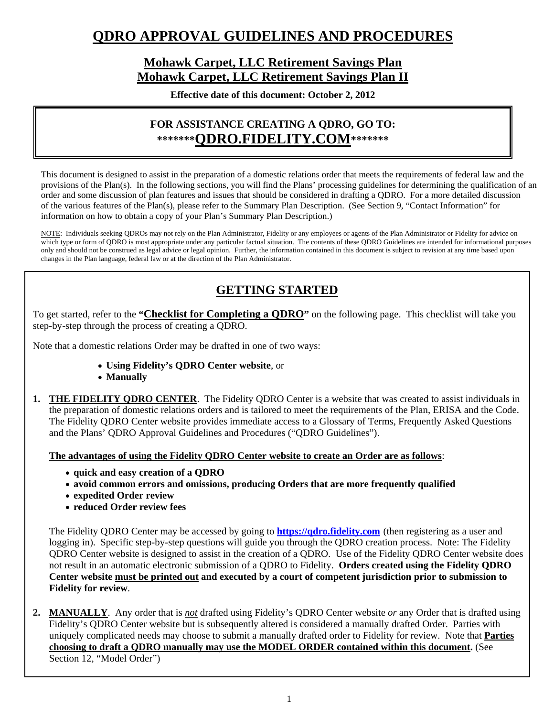# **QDRO APPROVAL GUIDELINES AND PROCEDURES**

## **Mohawk Carpet, LLC Retirement Savings Plan Mohawk Carpet, LLC Retirement Savings Plan II**

**Effective date of this document: October 2, 2012** 

## **FOR ASSISTANCE CREATING A QDRO, GO TO: \*\*\*\*\*\*\*QDRO.FIDELITY.COM\*\*\*\*\*\*\***

This document is designed to assist in the preparation of a domestic relations order that meets the requirements of federal law and the provisions of the Plan(s). In the following sections, you will find the Plans' processing guidelines for determining the qualification of an order and some discussion of plan features and issues that should be considered in drafting a QDRO. For a more detailed discussion of the various features of the Plan(s), please refer to the Summary Plan Description. (See Section 9, "Contact Information" for information on how to obtain a copy of your Plan's Summary Plan Description.)

NOTE: Individuals seeking QDROs may not rely on the Plan Administrator, Fidelity or any employees or agents of the Plan Administrator or Fidelity for advice on which type or form of QDRO is most appropriate under any particular factual situation. The contents of these QDRO Guidelines are intended for informational purposes only and should not be construed as legal advice or legal opinion. Further, the information contained in this document is subject to revision at any time based upon changes in the Plan language, federal law or at the direction of the Plan Administrator.

## **GETTING STARTED**

To get started, refer to the **"Checklist for Completing a QDRO"** on the following page. This checklist will take you step-by-step through the process of creating a QDRO.

Note that a domestic relations Order may be drafted in one of two ways:

- **Using Fidelity's QDRO Center website**, or
- **Manually**
- **1. THE FIDELITY QDRO CENTER**. The Fidelity QDRO Center is a website that was created to assist individuals in the preparation of domestic relations orders and is tailored to meet the requirements of the Plan, ERISA and the Code. The Fidelity QDRO Center website provides immediate access to a Glossary of Terms, Frequently Asked Questions and the Plans' QDRO Approval Guidelines and Procedures ("QDRO Guidelines").

**The advantages of using the Fidelity QDRO Center website to create an Order are as follows**:

- **quick and easy creation of a QDRO**
- **avoid common errors and omissions, producing Orders that are more frequently qualified**
- **expedited Order review**
- **reduced Order review fees**

The Fidelity QDRO Center may be accessed by going to **https://qdro.fidelity.com** (then registering as a user and logging in). Specific step-by-step questions will guide you through the QDRO creation process. Note: The Fidelity QDRO Center website is designed to assist in the creation of a QDRO. Use of the Fidelity QDRO Center website does not result in an automatic electronic submission of a QDRO to Fidelity. **Orders created using the Fidelity QDRO Center website must be printed out and executed by a court of competent jurisdiction prior to submission to Fidelity for review**.

**2. MANUALLY**. Any order that is *not* drafted using Fidelity's QDRO Center website *or* any Order that is drafted using Fidelity's QDRO Center website but is subsequently altered is considered a manually drafted Order. Parties with uniquely complicated needs may choose to submit a manually drafted order to Fidelity for review. Note that **Parties choosing to draft a QDRO manually may use the MODEL ORDER contained within this document.** (See Section 12, "Model Order")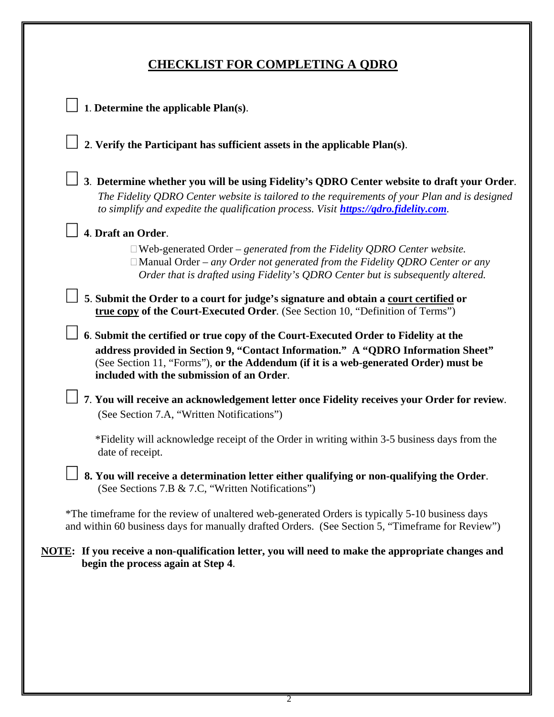# **CHECKLIST FOR COMPLETING A QDRO**

| 1. Determine the applicable Plan(s).                                                                                                                                                                                                                                                                        |
|-------------------------------------------------------------------------------------------------------------------------------------------------------------------------------------------------------------------------------------------------------------------------------------------------------------|
| 2. Verify the Participant has sufficient assets in the applicable Plan(s).                                                                                                                                                                                                                                  |
| 3. Determine whether you will be using Fidelity's QDRO Center website to draft your Order.<br>The Fidelity QDRO Center website is tailored to the requirements of your Plan and is designed<br>to simplify and expedite the qualification process. Visit <b>https://qdro.fidelity.com.</b>                  |
| 4. Draft an Order.                                                                                                                                                                                                                                                                                          |
| $\Box$ Web-generated Order – generated from the Fidelity QDRO Center website.<br>$\Box$ Manual Order – any Order not generated from the Fidelity QDRO Center or any<br>Order that is drafted using Fidelity's QDRO Center but is subsequently altered.                                                      |
| 5. Submit the Order to a court for judge's signature and obtain a court certified or<br>true copy of the Court-Executed Order. (See Section 10, "Definition of Terms")                                                                                                                                      |
| 6. Submit the certified or true copy of the Court-Executed Order to Fidelity at the<br>address provided in Section 9, "Contact Information." A "QDRO Information Sheet"<br>(See Section 11, "Forms"), or the Addendum (if it is a web-generated Order) must be<br>included with the submission of an Order. |
| 7. You will receive an acknowledgement letter once Fidelity receives your Order for review.<br>(See Section 7.A, "Written Notifications")                                                                                                                                                                   |
| *Fidelity will acknowledge receipt of the Order in writing within 3-5 business days from the<br>date of receipt.                                                                                                                                                                                            |
| 8. You will receive a determination letter either qualifying or non-qualifying the Order.<br>(See Sections 7.B & 7.C, "Written Notifications")                                                                                                                                                              |
| *The time frame for the review of unaltered web-generated Orders is typically 5-10 business days<br>and within 60 business days for manually drafted Orders. (See Section 5, "Timeframe for Review")                                                                                                        |
| NOTE: If you receive a non-qualification letter, you will need to make the appropriate changes and<br>begin the process again at Step 4.                                                                                                                                                                    |
|                                                                                                                                                                                                                                                                                                             |
|                                                                                                                                                                                                                                                                                                             |
|                                                                                                                                                                                                                                                                                                             |
|                                                                                                                                                                                                                                                                                                             |
|                                                                                                                                                                                                                                                                                                             |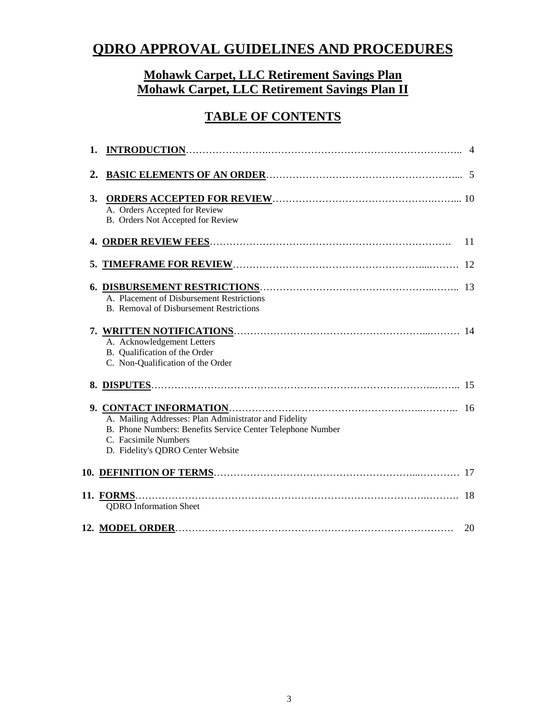# **QDRO APPROVAL GUIDELINES AND PROCEDURES**

## **Mohawk Carpet, LLC Retirement Savings Plan Mohawk Carpet, LLC Retirement Savings Plan II**

# **TABLE OF CONTENTS**

| 1. |                                                                                                                                                                                  |    |
|----|----------------------------------------------------------------------------------------------------------------------------------------------------------------------------------|----|
| 2. |                                                                                                                                                                                  |    |
| 3. | A. Orders Accepted for Review<br>B. Orders Not Accepted for Review                                                                                                               |    |
|    |                                                                                                                                                                                  | 11 |
|    |                                                                                                                                                                                  | 12 |
|    | A. Placement of Disbursement Restrictions<br><b>B.</b> Removal of Disbursement Restrictions                                                                                      |    |
|    | A. Acknowledgement Letters<br>B. Qualification of the Order<br>C. Non-Qualification of the Order                                                                                 |    |
|    |                                                                                                                                                                                  | 15 |
|    | A. Mailing Addresses: Plan Administrator and Fidelity<br>B. Phone Numbers: Benefits Service Center Telephone Number<br>C. Facsimile Numbers<br>D. Fidelity's QDRO Center Website |    |
|    |                                                                                                                                                                                  |    |
|    | <b>QDRO</b> Information Sheet                                                                                                                                                    | 18 |
|    |                                                                                                                                                                                  | 20 |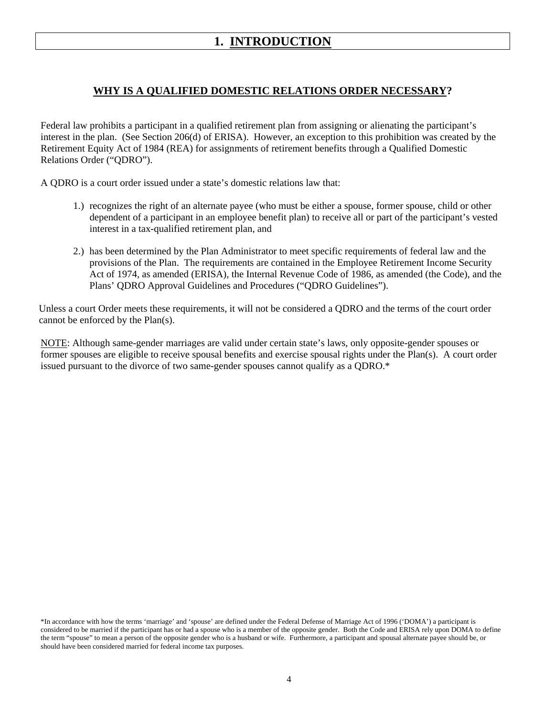## **1. INTRODUCTION**

### **WHY IS A QUALIFIED DOMESTIC RELATIONS ORDER NECESSARY?**

Federal law prohibits a participant in a qualified retirement plan from assigning or alienating the participant's interest in the plan. (See Section 206(d) of ERISA). However, an exception to this prohibition was created by the Retirement Equity Act of 1984 (REA) for assignments of retirement benefits through a Qualified Domestic Relations Order ("QDRO").

A QDRO is a court order issued under a state's domestic relations law that:

- 1.) recognizes the right of an alternate payee (who must be either a spouse, former spouse, child or other dependent of a participant in an employee benefit plan) to receive all or part of the participant's vested interest in a tax-qualified retirement plan, and
- 2.) has been determined by the Plan Administrator to meet specific requirements of federal law and the provisions of the Plan. The requirements are contained in the Employee Retirement Income Security Act of 1974, as amended (ERISA), the Internal Revenue Code of 1986, as amended (the Code), and the Plans' QDRO Approval Guidelines and Procedures ("QDRO Guidelines").

 Unless a court Order meets these requirements, it will not be considered a QDRO and the terms of the court order cannot be enforced by the Plan(s).

NOTE: Although same-gender marriages are valid under certain state's laws, only opposite-gender spouses or former spouses are eligible to receive spousal benefits and exercise spousal rights under the Plan(s). A court order issued pursuant to the divorce of two same-gender spouses cannot qualify as a QDRO.\*

<sup>\*</sup>In accordance with how the terms 'marriage' and 'spouse' are defined under the Federal Defense of Marriage Act of 1996 ('DOMA') a participant is considered to be married if the participant has or had a spouse who is a member of the opposite gender. Both the Code and ERISA rely upon DOMA to define the term "spouse" to mean a person of the opposite gender who is a husband or wife. Furthermore, a participant and spousal alternate payee should be, or should have been considered married for federal income tax purposes.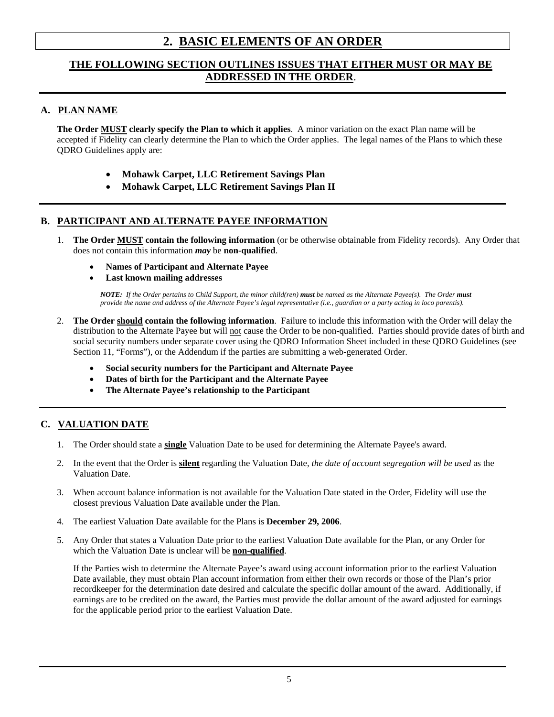## **2. BASIC ELEMENTS OF AN ORDER**

### **THE FOLLOWING SECTION OUTLINES ISSUES THAT EITHER MUST OR MAY BE ADDRESSED IN THE ORDER**.

#### **A. PLAN NAME**

**The Order MUST clearly specify the Plan to which it applies**. A minor variation on the exact Plan name will be accepted if Fidelity can clearly determine the Plan to which the Order applies. The legal names of the Plans to which these QDRO Guidelines apply are:

- **Mohawk Carpet, LLC Retirement Savings Plan**
- **Mohawk Carpet, LLC Retirement Savings Plan II**

### **B. PARTICIPANT AND ALTERNATE PAYEE INFORMATION**

- 1. **The Order MUST contain the following information** (or be otherwise obtainable from Fidelity records). Any Order that does not contain this information *may* be **non-qualified**.
	- **Names of Participant and Alternate Payee**
	- **Last known mailing addresses**

 *NOTE: If the Order pertains to Child Support, the minor child(ren) must be named as the Alternate Payee(s). The Order must provide the name and address of the Alternate Payee's legal representative (i.e., guardian or a party acting in loco parentis).*

- 2. **The Order should contain the following information**. Failure to include this information with the Order will delay the distribution to the Alternate Payee but will not cause the Order to be non-qualified. Parties should provide dates of birth and social security numbers under separate cover using the QDRO Information Sheet included in these QDRO Guidelines (see Section 11, "Forms"), or the Addendum if the parties are submitting a web-generated Order.
	- **Social security numbers for the Participant and Alternate Payee**
	- **Dates of birth for the Participant and the Alternate Payee**
	- **The Alternate Payee's relationship to the Participant**

#### **C. VALUATION DATE**

- 1. The Order should state a **single** Valuation Date to be used for determining the Alternate Payee's award.
- 2. In the event that the Order is **silent** regarding the Valuation Date, *the date of account segregation will be used* as the Valuation Date.
- 3. When account balance information is not available for the Valuation Date stated in the Order, Fidelity will use the closest previous Valuation Date available under the Plan.
- 4. The earliest Valuation Date available for the Plans is **December 29, 2006**.
- 5. Any Order that states a Valuation Date prior to the earliest Valuation Date available for the Plan, or any Order for which the Valuation Date is unclear will be **non-qualified**.

If the Parties wish to determine the Alternate Payee's award using account information prior to the earliest Valuation Date available, they must obtain Plan account information from either their own records or those of the Plan's prior recordkeeper for the determination date desired and calculate the specific dollar amount of the award. Additionally, if earnings are to be credited on the award, the Parties must provide the dollar amount of the award adjusted for earnings for the applicable period prior to the earliest Valuation Date.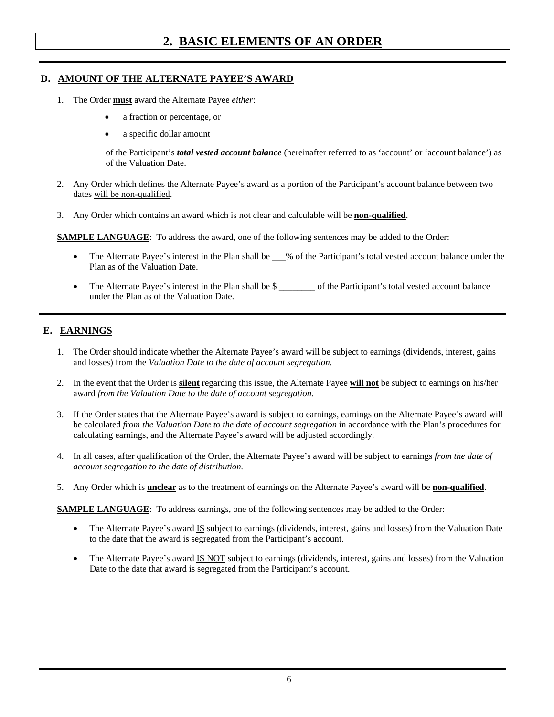## **2. BASIC ELEMENTS OF AN ORDER**

#### **D. AMOUNT OF THE ALTERNATE PAYEE'S AWARD**

- 1. The Order **must** award the Alternate Payee *either*:
	- a fraction or percentage, or
	- a specific dollar amount

of the Participant's *total vested account balance* (hereinafter referred to as 'account' or 'account balance') as of the Valuation Date.

- 2. Any Order which defines the Alternate Payee's award as a portion of the Participant's account balance between two dates will be non-qualified.
- 3. Any Order which contains an award which is not clear and calculable will be **non-qualified**.

**SAMPLE LANGUAGE**:To address the award, one of the following sentences may be added to the Order:

- The Alternate Payee's interest in the Plan shall be  $\_\_\%$  of the Participant's total vested account balance under the Plan as of the Valuation Date.
- The Alternate Payee's interest in the Plan shall be \$  $\qquad \qquad$  of the Participant's total vested account balance under the Plan as of the Valuation Date.

#### **E. EARNINGS**

- 1. The Order should indicate whether the Alternate Payee's award will be subject to earnings (dividends, interest, gains and losses) from the *Valuation Date to the date of account segregation*.
- 2. In the event that the Order is **silent** regarding this issue, the Alternate Payee **will not** be subject to earnings on his/her award *from the Valuation Date to the date of account segregation.*
- 3. If the Order states that the Alternate Payee's award is subject to earnings, earnings on the Alternate Payee's award will be calculated *from the Valuation Date to the date of account segregation* in accordance with the Plan's procedures for calculating earnings, and the Alternate Payee's award will be adjusted accordingly.
- 4. In all cases, after qualification of the Order, the Alternate Payee's award will be subject to earnings *from the date of account segregation to the date of distribution.*
- 5. Any Order which is **unclear** as to the treatment of earnings on the Alternate Payee's award will be **non-qualified**.

**SAMPLE LANGUAGE:** To address earnings, one of the following sentences may be added to the Order:

- The Alternate Payee's award IS subject to earnings (dividends, interest, gains and losses) from the Valuation Date to the date that the award is segregated from the Participant's account.
- The Alternate Payee's award IS NOT subject to earnings (dividends, interest, gains and losses) from the Valuation Date to the date that award is segregated from the Participant's account.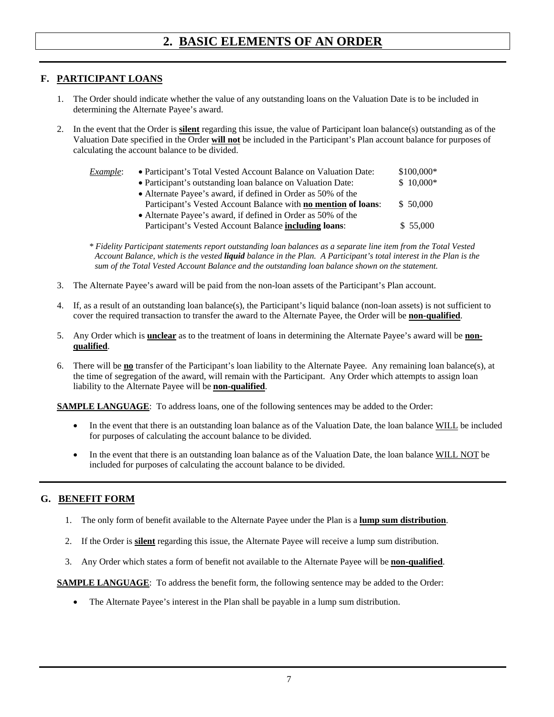## **2. BASIC ELEMENTS OF AN ORDER**

#### **F. PARTICIPANT LOANS**

- 1. The Order should indicate whether the value of any outstanding loans on the Valuation Date is to be included in determining the Alternate Payee's award.
- 2. In the event that the Order is **silent** regarding this issue, the value of Participant loan balance(s) outstanding as of the Valuation Date specified in the Order **will not** be included in the Participant's Plan account balance for purposes of calculating the account balance to be divided.

| Example: | • Participant's Total Vested Account Balance on Valuation Date: | $$100,000*$ |
|----------|-----------------------------------------------------------------|-------------|
|          | • Participant's outstanding loan balance on Valuation Date:     | $$10,000*$  |
|          | • Alternate Payee's award, if defined in Order as 50% of the    |             |
|          | Participant's Vested Account Balance with no mention of loans:  | \$50,000    |
|          | • Alternate Payee's award, if defined in Order as 50% of the    |             |
|          | Participant's Vested Account Balance <b>including loans</b> :   | \$55,000    |

 *\* Fidelity Participant statements report outstanding loan balances as a separate line item from the Total Vested Account Balance, which is the vested liquid balance in the Plan. A Participant's total interest in the Plan is the sum of the Total Vested Account Balance and the outstanding loan balance shown on the statement.*

- 3. The Alternate Payee's award will be paid from the non-loan assets of the Participant's Plan account.
- 4. If, as a result of an outstanding loan balance(s), the Participant's liquid balance (non-loan assets) is not sufficient to cover the required transaction to transfer the award to the Alternate Payee, the Order will be **non-qualified**.
- 5. Any Order which is **unclear** as to the treatment of loans in determining the Alternate Payee's award will be **nonqualified**.
- 6. There will be **no** transfer of the Participant's loan liability to the Alternate Payee. Any remaining loan balance(s), at the time of segregation of the award, will remain with the Participant. Any Order which attempts to assign loan liability to the Alternate Payee will be **non-qualified**.

**SAMPLE LANGUAGE:** To address loans, one of the following sentences may be added to the Order:

- In the event that there is an outstanding loan balance as of the Valuation Date, the loan balance WILL be included for purposes of calculating the account balance to be divided.
- In the event that there is an outstanding loan balance as of the Valuation Date, the loan balance WILL NOT be included for purposes of calculating the account balance to be divided.

### **G. BENEFIT FORM**

- 1. The only form of benefit available to the Alternate Payee under the Plan is a **lump sum distribution**.
- 2. If the Order is **silent** regarding this issue, the Alternate Payee will receive a lump sum distribution.
- 3. Any Order which states a form of benefit not available to the Alternate Payee will be **non-qualified**.

**SAMPLE LANGUAGE:** To address the benefit form, the following sentence may be added to the Order:

• The Alternate Payee's interest in the Plan shall be payable in a lump sum distribution.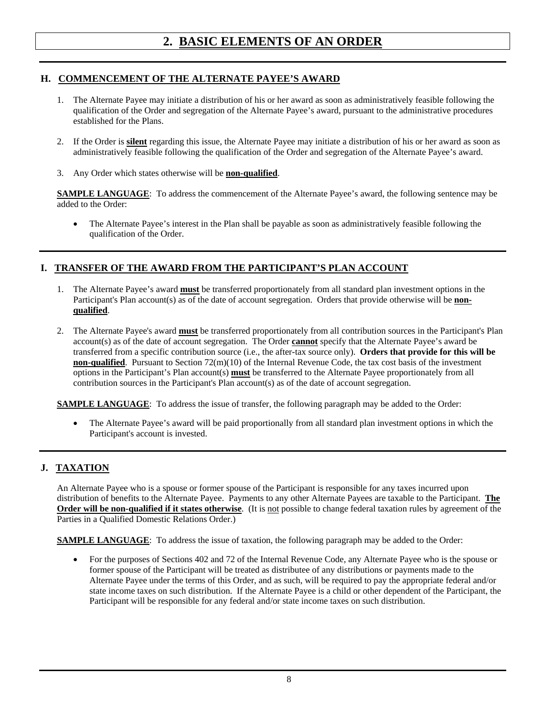### **H. COMMENCEMENT OF THE ALTERNATE PAYEE'S AWARD**

- 1. The Alternate Payee may initiate a distribution of his or her award as soon as administratively feasible following the qualification of the Order and segregation of the Alternate Payee's award, pursuant to the administrative procedures established for the Plans.
- 2. If the Order is **silent** regarding this issue, the Alternate Payee may initiate a distribution of his or her award as soon as administratively feasible following the qualification of the Order and segregation of the Alternate Payee's award.
- 3. Any Order which states otherwise will be **non-qualified**.

**SAMPLE LANGUAGE**: To address the commencement of the Alternate Payee's award, the following sentence may be added to the Order:

 The Alternate Payee's interest in the Plan shall be payable as soon as administratively feasible following the qualification of the Order.

### **I. TRANSFER OF THE AWARD FROM THE PARTICIPANT'S PLAN ACCOUNT**

- 1. The Alternate Payee's award **must** be transferred proportionately from all standard plan investment options in the Participant's Plan account(s) as of the date of account segregation. Orders that provide otherwise will be **nonqualified**.
- 2. The Alternate Payee's award **must** be transferred proportionately from all contribution sources in the Participant's Plan account(s) as of the date of account segregation. The Order **cannot** specify that the Alternate Payee's award be transferred from a specific contribution source (i.e., the after-tax source only). **Orders that provide for this will be non-qualified**. Pursuant to Section 72(m)(10) of the Internal Revenue Code, the tax cost basis of the investment options in the Participant's Plan account(s) **must** be transferred to the Alternate Payee proportionately from all contribution sources in the Participant's Plan account(s) as of the date of account segregation.

**SAMPLE LANGUAGE:** To address the issue of transfer, the following paragraph may be added to the Order:

 The Alternate Payee's award will be paid proportionally from all standard plan investment options in which the Participant's account is invested.

### **J. TAXATION**

An Alternate Payee who is a spouse or former spouse of the Participant is responsible for any taxes incurred upon distribution of benefits to the Alternate Payee. Payments to any other Alternate Payees are taxable to the Participant. **The Order will be non-qualified if it states otherwise**. (It is not possible to change federal taxation rules by agreement of the Parties in a Qualified Domestic Relations Order.)

**SAMPLE LANGUAGE:** To address the issue of taxation, the following paragraph may be added to the Order:

• For the purposes of Sections 402 and 72 of the Internal Revenue Code, any Alternate Payee who is the spouse or former spouse of the Participant will be treated as distributee of any distributions or payments made to the Alternate Payee under the terms of this Order, and as such, will be required to pay the appropriate federal and/or state income taxes on such distribution. If the Alternate Payee is a child or other dependent of the Participant, the Participant will be responsible for any federal and/or state income taxes on such distribution.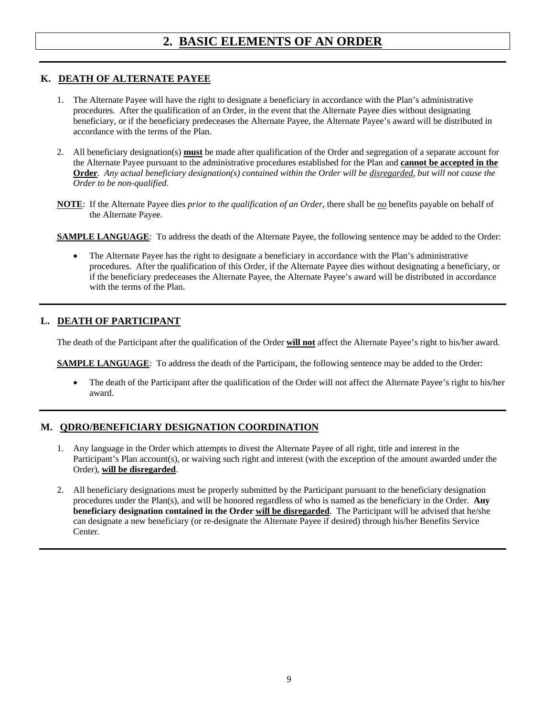#### **K. DEATH OF ALTERNATE PAYEE**

- 1. The Alternate Payee will have the right to designate a beneficiary in accordance with the Plan's administrative procedures. After the qualification of an Order, in the event that the Alternate Payee dies without designating beneficiary, or if the beneficiary predeceases the Alternate Payee, the Alternate Payee's award will be distributed in accordance with the terms of the Plan.
- 2. All beneficiary designation(s) **must** be made after qualification of the Order and segregation of a separate account for the Alternate Payee pursuant to the administrative procedures established for the Plan and **cannot be accepted in the Order**. *Any actual beneficiary designation(s) contained within the Order will be disregarded, but will not cause the Order to be non-qualified*.
- **NOTE**: If the Alternate Payee dies *prior to the qualification of an Order*, there shall be <u>no</u> benefits payable on behalf of the Alternate Payee*.*
- **SAMPLE LANGUAGE:** To address the death of the Alternate Payee, the following sentence may be added to the Order:
	- The Alternate Payee has the right to designate a beneficiary in accordance with the Plan's administrative procedures. After the qualification of this Order, if the Alternate Payee dies without designating a beneficiary, or if the beneficiary predeceases the Alternate Payee, the Alternate Payee's award will be distributed in accordance with the terms of the Plan.

### **L. DEATH OF PARTICIPANT**

The death of the Participant after the qualification of the Order **will not** affect the Alternate Payee's right to his/her award.

**SAMPLE LANGUAGE:** To address the death of the Participant, the following sentence may be added to the Order:

 The death of the Participant after the qualification of the Order will not affect the Alternate Payee's right to his/her award.

### **M. QDRO/BENEFICIARY DESIGNATION COORDINATION**

- 1. Any language in the Order which attempts to divest the Alternate Payee of all right, title and interest in the Participant's Plan account(s), or waiving such right and interest (with the exception of the amount awarded under the Order), **will be disregarded**.
- 2. All beneficiary designations must be properly submitted by the Participant pursuant to the beneficiary designation procedures under the Plan(s), and will be honored regardless of who is named as the beneficiary in the Order. **Any beneficiary designation contained in the Order will be disregarded**. The Participant will be advised that he/she can designate a new beneficiary (or re-designate the Alternate Payee if desired) through his/her Benefits Service Center.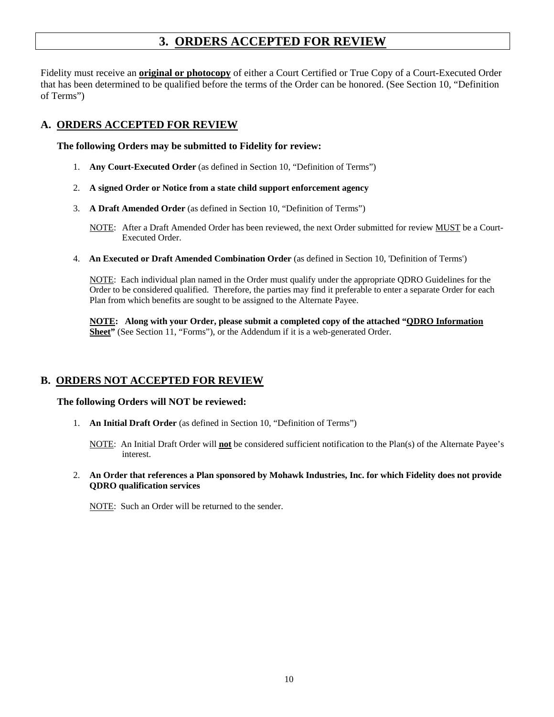## **3. ORDERS ACCEPTED FOR REVIEW**

Fidelity must receive an **original or photocopy** of either a Court Certified or True Copy of a Court-Executed Order that has been determined to be qualified before the terms of the Order can be honored. (See Section 10, "Definition of Terms")

#### **A. ORDERS ACCEPTED FOR REVIEW**

**The following Orders may be submitted to Fidelity for review:** 

- 1. **Any Court-Executed Order** (as defined in Section 10, "Definition of Terms")
- 2. **A signed Order or Notice from a state child support enforcement agency**
- 3. **A Draft Amended Order** (as defined in Section 10, "Definition of Terms")

NOTE: After a Draft Amended Order has been reviewed, the next Order submitted for review MUST be a Court-Executed Order.

4. **An Executed or Draft Amended Combination Order** (as defined in Section 10, 'Definition of Terms')

NOTE: Each individual plan named in the Order must qualify under the appropriate QDRO Guidelines for the Order to be considered qualified. Therefore, the parties may find it preferable to enter a separate Order for each Plan from which benefits are sought to be assigned to the Alternate Payee.

**NOTE: Along with your Order, please submit a completed copy of the attached "QDRO Information Sheet"** (See Section 11, "Forms"), or the Addendum if it is a web-generated Order.

### **B. ORDERS NOT ACCEPTED FOR REVIEW**

#### **The following Orders will NOT be reviewed:**

1. **An Initial Draft Order** (as defined in Section 10, "Definition of Terms")

NOTE: An Initial Draft Order will **not** be considered sufficient notification to the Plan(s) of the Alternate Payee's interest.

2. **An Order that references a Plan sponsored by Mohawk Industries, Inc. for which Fidelity does not provide QDRO qualification services** 

NOTE: Such an Order will be returned to the sender.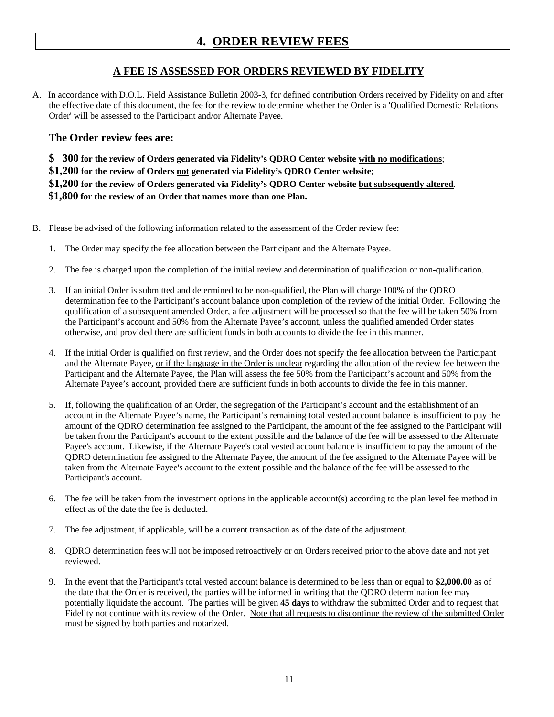## **4. ORDER REVIEW FEES**

### **A FEE IS ASSESSED FOR ORDERS REVIEWED BY FIDELITY**

A. In accordance with D.O.L. Field Assistance Bulletin 2003-3, for defined contribution Orders received by Fidelity on and after the effective date of this document, the fee for the review to determine whether the Order is a 'Qualified Domestic Relations Order' will be assessed to the Participant and/or Alternate Payee.

### **The Order review fees are:**

**\$ 300 for the review of Orders generated via Fidelity's QDRO Center website with no modifications**; **\$1,200 for the review of Orders not generated via Fidelity's QDRO Center website**; **\$1,200 for the review of Orders generated via Fidelity's QDRO Center website but subsequently altered**.  **\$1,800 for the review of an Order that names more than one Plan.** 

- B. Please be advised of the following information related to the assessment of the Order review fee:
	- 1. The Order may specify the fee allocation between the Participant and the Alternate Payee.
	- 2. The fee is charged upon the completion of the initial review and determination of qualification or non-qualification.
	- 3. If an initial Order is submitted and determined to be non-qualified, the Plan will charge 100% of the QDRO determination fee to the Participant's account balance upon completion of the review of the initial Order. Following the qualification of a subsequent amended Order, a fee adjustment will be processed so that the fee will be taken 50% from the Participant's account and 50% from the Alternate Payee's account, unless the qualified amended Order states otherwise, and provided there are sufficient funds in both accounts to divide the fee in this manner.
	- 4. If the initial Order is qualified on first review, and the Order does not specify the fee allocation between the Participant and the Alternate Payee, or if the language in the Order is unclear regarding the allocation of the review fee between the Participant and the Alternate Payee, the Plan will assess the fee 50% from the Participant's account and 50% from the Alternate Payee's account, provided there are sufficient funds in both accounts to divide the fee in this manner.
	- 5. If, following the qualification of an Order, the segregation of the Participant's account and the establishment of an account in the Alternate Payee's name, the Participant's remaining total vested account balance is insufficient to pay the amount of the QDRO determination fee assigned to the Participant, the amount of the fee assigned to the Participant will be taken from the Participant's account to the extent possible and the balance of the fee will be assessed to the Alternate Payee's account. Likewise, if the Alternate Payee's total vested account balance is insufficient to pay the amount of the QDRO determination fee assigned to the Alternate Payee, the amount of the fee assigned to the Alternate Payee will be taken from the Alternate Payee's account to the extent possible and the balance of the fee will be assessed to the Participant's account.
	- 6. The fee will be taken from the investment options in the applicable account(s) according to the plan level fee method in effect as of the date the fee is deducted.
	- 7. The fee adjustment, if applicable, will be a current transaction as of the date of the adjustment.
	- 8. QDRO determination fees will not be imposed retroactively or on Orders received prior to the above date and not yet reviewed.
	- 9. In the event that the Participant's total vested account balance is determined to be less than or equal to **\$2,000.00** as of the date that the Order is received, the parties will be informed in writing that the QDRO determination fee may potentially liquidate the account. The parties will be given **45 days** to withdraw the submitted Order and to request that Fidelity not continue with its review of the Order. Note that all requests to discontinue the review of the submitted Order must be signed by both parties and notarized.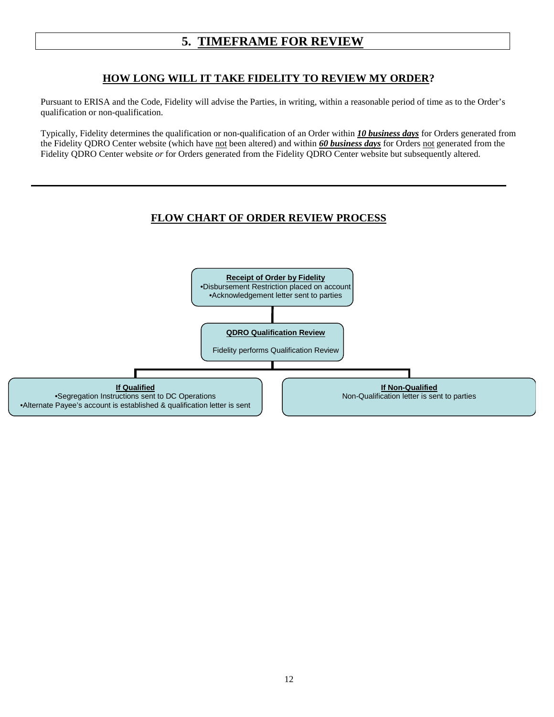### **HOW LONG WILL IT TAKE FIDELITY TO REVIEW MY ORDER?**

Pursuant to ERISA and the Code, Fidelity will advise the Parties, in writing, within a reasonable period of time as to the Order's qualification or non-qualification.

Typically, Fidelity determines the qualification or non-qualification of an Order within *10 business days* for Orders generated from the Fidelity QDRO Center website (which have not been altered) and within *60 business days* for Orders not generated from the Fidelity QDRO Center website *or* for Orders generated from the Fidelity QDRO Center website but subsequently altered.

### **FLOW CHART OF ORDER REVIEW PROCESS**

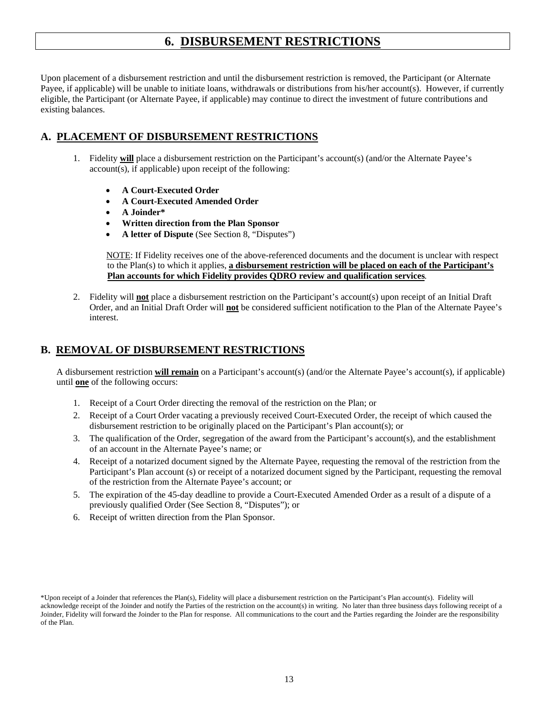## **6. DISBURSEMENT RESTRICTIONS**

Upon placement of a disbursement restriction and until the disbursement restriction is removed, the Participant (or Alternate Payee, if applicable) will be unable to initiate loans, withdrawals or distributions from his/her account(s). However, if currently eligible, the Participant (or Alternate Payee, if applicable) may continue to direct the investment of future contributions and existing balances.

### **A. PLACEMENT OF DISBURSEMENT RESTRICTIONS**

- 1. Fidelity **will** place a disbursement restriction on the Participant's account(s) (and/or the Alternate Payee's account(s), if applicable) upon receipt of the following:
	- **A Court-Executed Order**
	- **A Court-Executed Amended Order**
	- **A Joinder\***
	- **Written direction from the Plan Sponsor**
	- **A letter of Dispute** (See Section 8, "Disputes")

 NOTE: If Fidelity receives one of the above-referenced documents and the document is unclear with respect to the Plan(s) to which it applies, **a disbursement restriction will be placed on each of the Participant's Plan accounts for which Fidelity provides QDRO review and qualification services***.* 

2. Fidelity will **not** place a disbursement restriction on the Participant's account(s) upon receipt of an Initial Draft Order, and an Initial Draft Order will **not** be considered sufficient notification to the Plan of the Alternate Payee's interest.

### **B. REMOVAL OF DISBURSEMENT RESTRICTIONS**

 A disbursement restriction **will remain** on a Participant's account(s) (and/or the Alternate Payee's account(s), if applicable) until **one** of the following occurs:

- 1. Receipt of a Court Order directing the removal of the restriction on the Plan; or
- 2. Receipt of a Court Order vacating a previously received Court-Executed Order, the receipt of which caused the disbursement restriction to be originally placed on the Participant's Plan account(s); or
- 3. The qualification of the Order, segregation of the award from the Participant's account(s), and the establishment of an account in the Alternate Payee's name; or
- 4. Receipt of a notarized document signed by the Alternate Payee, requesting the removal of the restriction from the Participant's Plan account (s) or receipt of a notarized document signed by the Participant, requesting the removal of the restriction from the Alternate Payee's account; or
- 5. The expiration of the 45-day deadline to provide a Court-Executed Amended Order as a result of a dispute of a previously qualified Order (See Section 8, "Disputes"); or
- 6. Receipt of written direction from the Plan Sponsor.

<sup>\*</sup>Upon receipt of a Joinder that references the Plan(s), Fidelity will place a disbursement restriction on the Participant's Plan account(s). Fidelity will acknowledge receipt of the Joinder and notify the Parties of the restriction on the account(s) in writing. No later than three business days following receipt of a Joinder, Fidelity will forward the Joinder to the Plan for response. All communications to the court and the Parties regarding the Joinder are the responsibility of the Plan.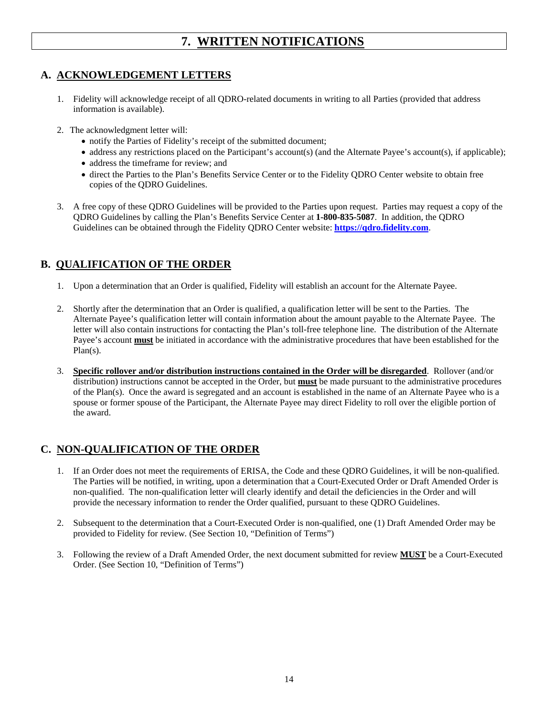## **7. WRITTEN NOTIFICATIONS**

### **A. ACKNOWLEDGEMENT LETTERS**

- 1. Fidelity will acknowledge receipt of all QDRO-related documents in writing to all Parties (provided that address information is available).
- 2. The acknowledgment letter will:
	- notify the Parties of Fidelity's receipt of the submitted document;
	- address any restrictions placed on the Participant's account(s) (and the Alternate Payee's account(s), if applicable);
	- address the timeframe for review; and
	- direct the Parties to the Plan's Benefits Service Center or to the Fidelity QDRO Center website to obtain free copies of the QDRO Guidelines.
- 3. A free copy of these QDRO Guidelines will be provided to the Parties upon request. Parties may request a copy of the QDRO Guidelines by calling the Plan's Benefits Service Center at **1-800-835-5087**. In addition, the QDRO Guidelines can be obtained through the Fidelity QDRO Center website: **https://qdro.fidelity.com**.

### **B. QUALIFICATION OF THE ORDER**

- 1. Upon a determination that an Order is qualified, Fidelity will establish an account for the Alternate Payee.
- 2. Shortly after the determination that an Order is qualified, a qualification letter will be sent to the Parties. The Alternate Payee's qualification letter will contain information about the amount payable to the Alternate Payee. The letter will also contain instructions for contacting the Plan's toll-free telephone line. The distribution of the Alternate Payee's account **must** be initiated in accordance with the administrative procedures that have been established for the Plan(s).
- 3. **Specific rollover and/or distribution instructions contained in the Order will be disregarded**.Rollover (and/or distribution) instructions cannot be accepted in the Order, but **must** be made pursuant to the administrative procedures of the Plan(s). Once the award is segregated and an account is established in the name of an Alternate Payee who is a spouse or former spouse of the Participant, the Alternate Payee may direct Fidelity to roll over the eligible portion of the award.

### **C. NON-QUALIFICATION OF THE ORDER**

- 1. If an Order does not meet the requirements of ERISA, the Code and these QDRO Guidelines, it will be non-qualified. The Parties will be notified, in writing, upon a determination that a Court-Executed Order or Draft Amended Order is non-qualified. The non-qualification letter will clearly identify and detail the deficiencies in the Order and will provide the necessary information to render the Order qualified, pursuant to these QDRO Guidelines.
- 2. Subsequent to the determination that a Court-Executed Order is non-qualified, one (1) Draft Amended Order may be provided to Fidelity for review*.* (See Section 10, "Definition of Terms")
- 3. Following the review of a Draft Amended Order, the next document submitted for review **MUST** be a Court-Executed Order. (See Section 10, "Definition of Terms")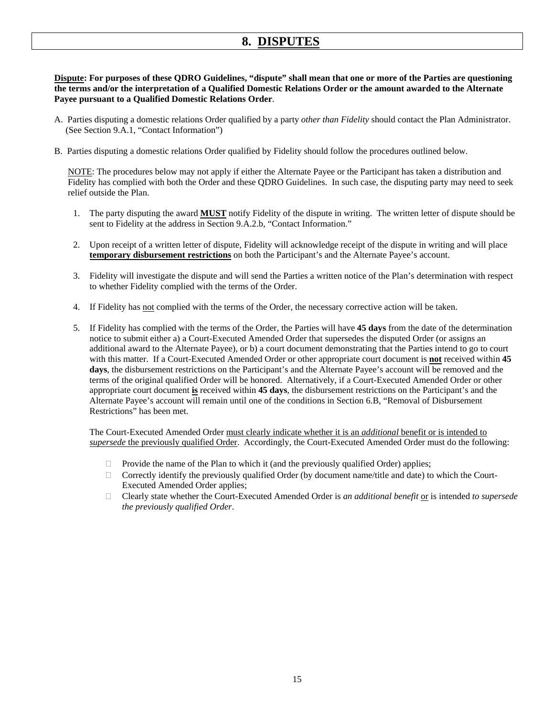## **8. DISPUTES**

**Dispute: For purposes of these QDRO Guidelines, "dispute" shall mean that one or more of the Parties are questioning the terms and/or the interpretation of a Qualified Domestic Relations Order or the amount awarded to the Alternate Payee pursuant to a Qualified Domestic Relations Order**.

- A. Parties disputing a domestic relations Order qualified by a party *other than Fidelity* should contact the Plan Administrator. (See Section 9.A.1, "Contact Information")
- B. Parties disputing a domestic relations Order qualified by Fidelity should follow the procedures outlined below.

 NOTE: The procedures below may not apply if either the Alternate Payee or the Participant has taken a distribution and Fidelity has complied with both the Order and these QDRO Guidelines. In such case, the disputing party may need to seek relief outside the Plan.

- 1. The party disputing the award **MUST** notify Fidelity of the dispute in writing. The written letter of dispute should be sent to Fidelity at the address in Section 9.A.2.b, "Contact Information."
- 2. Upon receipt of a written letter of dispute, Fidelity will acknowledge receipt of the dispute in writing and will place **temporary disbursement restrictions** on both the Participant's and the Alternate Payee's account.
- 3. Fidelity will investigate the dispute and will send the Parties a written notice of the Plan's determination with respect to whether Fidelity complied with the terms of the Order.
- 4. If Fidelity has not complied with the terms of the Order, the necessary corrective action will be taken.
- 5. If Fidelity has complied with the terms of the Order, the Parties will have **45 days** from the date of the determination notice to submit either a) a Court-Executed Amended Order that supersedes the disputed Order (or assigns an additional award to the Alternate Payee), or b) a court document demonstrating that the Parties intend to go to court with this matter. If a Court-Executed Amended Order or other appropriate court document is **not** received within **45 days**, the disbursement restrictions on the Participant's and the Alternate Payee's account will be removed and the terms of the original qualified Order will be honored. Alternatively, if a Court-Executed Amended Order or other appropriate court document **is** received within **45 days**, the disbursement restrictions on the Participant's and the Alternate Payee's account will remain until one of the conditions in Section 6.B, "Removal of Disbursement Restrictions" has been met.

The Court-Executed Amended Order must clearly indicate whether it is an *additional* benefit or is intended to *supersede* the previously qualified Order. Accordingly, the Court-Executed Amended Order must do the following:

- $\Box$  Provide the name of the Plan to which it (and the previously qualified Order) applies;
- $\Box$  Correctly identify the previously qualified Order (by document name/title and date) to which the Court-Executed Amended Order applies;
- Clearly state whether the Court-Executed Amended Order is *an additional benefit* or is intended *to supersede the previously qualified Order*.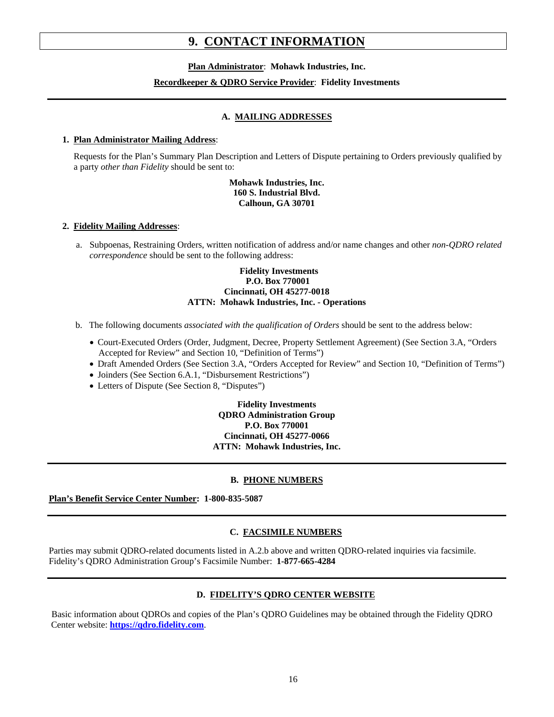## **9. CONTACT INFORMATION**

**Plan Administrator**: **Mohawk Industries, Inc.** 

#### **Recordkeeper & QDRO Service Provider**: **Fidelity Investments**

#### **A. MAILING ADDRESSES**

#### **1. Plan Administrator Mailing Address**:

 Requests for the Plan's Summary Plan Description and Letters of Dispute pertaining to Orders previously qualified by a party *other than Fidelity* should be sent to:

#### **Mohawk Industries, Inc. 160 S. Industrial Blvd. Calhoun, GA 30701**

#### **2. Fidelity Mailing Addresses**:

 a. Subpoenas, Restraining Orders, written notification of address and/or name changes and other *non-QDRO related correspondence* should be sent to the following address:

#### **Fidelity Investments P.O. Box 770001 Cincinnati, OH 45277-0018 ATTN: Mohawk Industries, Inc. - Operations**

- b. The following documents *associated with the qualification of Orders* should be sent to the address below:
	- Court-Executed Orders (Order, Judgment, Decree, Property Settlement Agreement) (See Section 3.A, "Orders Accepted for Review" and Section 10, "Definition of Terms")
	- Draft Amended Orders (See Section 3.A, "Orders Accepted for Review" and Section 10, "Definition of Terms")
	- Joinders (See Section 6.A.1, "Disbursement Restrictions")
	- Letters of Dispute (See Section 8, "Disputes")

#### **Fidelity Investments QDRO Administration Group P.O. Box 770001 Cincinnati, OH 45277-0066 ATTN: Mohawk Industries, Inc.**

#### **B. PHONE NUMBERS**

**Plan's Benefit Service Center Number: 1-800-835-5087** 

#### **C. FACSIMILE NUMBERS**

Parties may submit QDRO-related documents listed in A.2.b above and written QDRO-related inquiries via facsimile. Fidelity's QDRO Administration Group's Facsimile Number: **1-877-665-4284**

#### **D. FIDELITY'S QDRO CENTER WEBSITE**

Basic information about QDROs and copies of the Plan's QDRO Guidelines may be obtained through the Fidelity QDRO Center website: **https://qdro.fidelity.com**.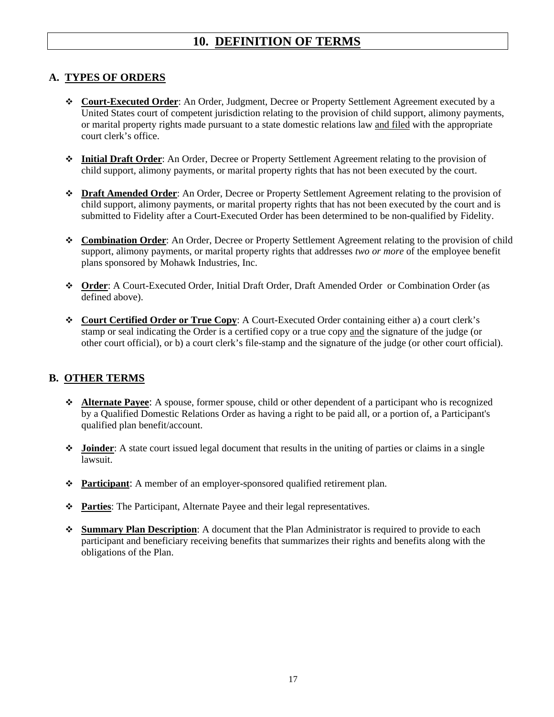## **10. DEFINITION OF TERMS**

### **A. TYPES OF ORDERS**

- **Court-Executed Order**: An Order, Judgment, Decree or Property Settlement Agreement executed by a United States court of competent jurisdiction relating to the provision of child support, alimony payments, or marital property rights made pursuant to a state domestic relations law and filed with the appropriate court clerk's office.
- **Initial Draft Order**: An Order, Decree or Property Settlement Agreement relating to the provision of child support, alimony payments, or marital property rights that has not been executed by the court.
- **Draft Amended Order**: An Order, Decree or Property Settlement Agreement relating to the provision of child support, alimony payments, or marital property rights that has not been executed by the court and is submitted to Fidelity after a Court-Executed Order has been determined to be non-qualified by Fidelity.
- **Combination Order**: An Order, Decree or Property Settlement Agreement relating to the provision of child support, alimony payments, or marital property rights that addresses *two or more* of the employee benefit plans sponsored by Mohawk Industries, Inc.
- **Order**: A Court-Executed Order, Initial Draft Order, Draft Amended Order or Combination Order (as defined above).
- **Court Certified Order or True Copy**: A Court-Executed Order containing either a) a court clerk's stamp or seal indicating the Order is a certified copy or a true copy and the signature of the judge (or other court official), or b) a court clerk's file-stamp and the signature of the judge (or other court official).

### **B. OTHER TERMS**

- **Alternate Payee**: A spouse, former spouse, child or other dependent of a participant who is recognized by a Qualified Domestic Relations Order as having a right to be paid all, or a portion of, a Participant's qualified plan benefit/account.
- **Joinder**: A state court issued legal document that results in the uniting of parties or claims in a single lawsuit.
- **Participant**: A member of an employer-sponsored qualified retirement plan.
- **Parties**: The Participant, Alternate Payee and their legal representatives.
- **Summary Plan Description**: A document that the Plan Administrator is required to provide to each participant and beneficiary receiving benefits that summarizes their rights and benefits along with the obligations of the Plan.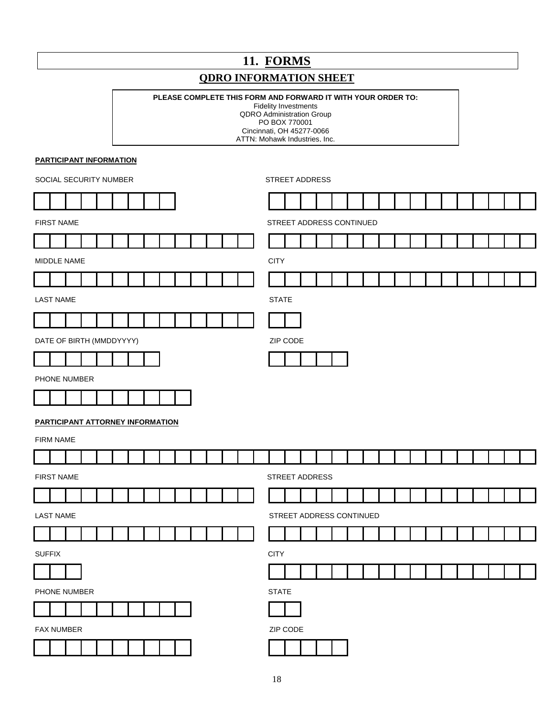## **11. FORMS**

## **QDRO INFORMATION SHEET**

#### **PLEASE COMPLETE THIS FORM AND FORWARD IT WITH YOUR ORDER TO:**

Fidelity Investments

QDRO Administration Group PO BOX 770001 Cincinnati, OH 45277-0066 ATTN: Mohawk Industries, Inc.

**PARTICIPANT INFORMATION**

L

| SOCIAL SECURITY NUMBER |                     |                                         |  |  |  | STREET ADDRESS           |             |             |  |  |  |                          |                     |  |    |  |  |  |  |  |  |  |  |  |  |  |
|------------------------|---------------------|-----------------------------------------|--|--|--|--------------------------|-------------|-------------|--|--|--|--------------------------|---------------------|--|----|--|--|--|--|--|--|--|--|--|--|--|
|                        |                     |                                         |  |  |  |                          |             |             |  |  |  |                          |                     |  |    |  |  |  |  |  |  |  |  |  |  |  |
| <b>FIRST NAME</b>      |                     |                                         |  |  |  | STREET ADDRESS CONTINUED |             |             |  |  |  |                          |                     |  |    |  |  |  |  |  |  |  |  |  |  |  |
|                        |                     |                                         |  |  |  |                          |             |             |  |  |  |                          |                     |  |    |  |  |  |  |  |  |  |  |  |  |  |
|                        | MIDDLE NAME         |                                         |  |  |  |                          |             | <b>CITY</b> |  |  |  |                          |                     |  |    |  |  |  |  |  |  |  |  |  |  |  |
|                        |                     |                                         |  |  |  |                          |             |             |  |  |  |                          |                     |  |    |  |  |  |  |  |  |  |  |  |  |  |
|                        | <b>LAST NAME</b>    |                                         |  |  |  |                          |             |             |  |  |  | <b>STATE</b>             |                     |  |    |  |  |  |  |  |  |  |  |  |  |  |
|                        |                     |                                         |  |  |  |                          |             |             |  |  |  |                          |                     |  |    |  |  |  |  |  |  |  |  |  |  |  |
|                        |                     | DATE OF BIRTH (MMDDYYYY)                |  |  |  |                          |             |             |  |  |  |                          | ZIP CODE            |  |    |  |  |  |  |  |  |  |  |  |  |  |
|                        |                     |                                         |  |  |  |                          |             |             |  |  |  |                          |                     |  |    |  |  |  |  |  |  |  |  |  |  |  |
|                        |                     | PHONE NUMBER                            |  |  |  |                          |             |             |  |  |  |                          |                     |  |    |  |  |  |  |  |  |  |  |  |  |  |
|                        |                     |                                         |  |  |  |                          |             |             |  |  |  |                          |                     |  |    |  |  |  |  |  |  |  |  |  |  |  |
|                        |                     | <b>PARTICIPANT ATTORNEY INFORMATION</b> |  |  |  |                          |             |             |  |  |  |                          |                     |  |    |  |  |  |  |  |  |  |  |  |  |  |
|                        | <b>FIRM NAME</b>    |                                         |  |  |  |                          |             |             |  |  |  |                          |                     |  |    |  |  |  |  |  |  |  |  |  |  |  |
|                        |                     |                                         |  |  |  |                          |             |             |  |  |  |                          |                     |  |    |  |  |  |  |  |  |  |  |  |  |  |
|                        | <b>FIRST NAME</b>   |                                         |  |  |  |                          |             |             |  |  |  | STREET ADDRESS           |                     |  |    |  |  |  |  |  |  |  |  |  |  |  |
|                        |                     |                                         |  |  |  |                          |             |             |  |  |  |                          |                     |  |    |  |  |  |  |  |  |  |  |  |  |  |
|                        | <b>LAST NAME</b>    |                                         |  |  |  |                          |             |             |  |  |  | STREET ADDRESS CONTINUED |                     |  |    |  |  |  |  |  |  |  |  |  |  |  |
|                        |                     |                                         |  |  |  |                          |             |             |  |  |  |                          |                     |  |    |  |  |  |  |  |  |  |  |  |  |  |
| <b>SUFFIX</b>          |                     |                                         |  |  |  |                          | <b>CITY</b> |             |  |  |  |                          |                     |  |    |  |  |  |  |  |  |  |  |  |  |  |
| <u>—</u>               | and the contract of |                                         |  |  |  |                          |             |             |  |  |  |                          | and the contract of |  | -- |  |  |  |  |  |  |  |  |  |  |  |
| PHONE NUMBER           |                     |                                         |  |  |  | <b>STATE</b>             |             |             |  |  |  |                          |                     |  |    |  |  |  |  |  |  |  |  |  |  |  |
|                        |                     |                                         |  |  |  |                          |             |             |  |  |  |                          |                     |  |    |  |  |  |  |  |  |  |  |  |  |  |
|                        | FAX NUMBER          |                                         |  |  |  |                          | ZIP CODE    |             |  |  |  |                          |                     |  |    |  |  |  |  |  |  |  |  |  |  |  |
|                        |                     |                                         |  |  |  |                          |             |             |  |  |  |                          |                     |  |    |  |  |  |  |  |  |  |  |  |  |  |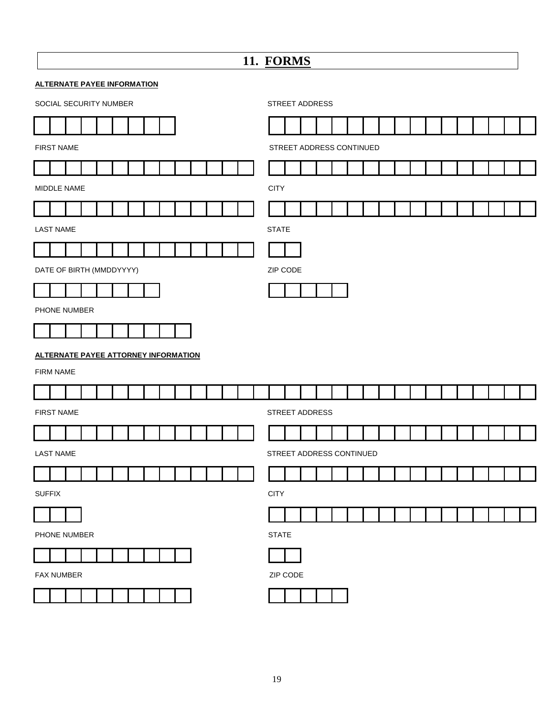| 11. FORMS                                   |                          |  |  |  |  |  |  |  |  |  |  |  |  |
|---------------------------------------------|--------------------------|--|--|--|--|--|--|--|--|--|--|--|--|
| <b>ALTERNATE PAYEE INFORMATION</b>          |                          |  |  |  |  |  |  |  |  |  |  |  |  |
| SOCIAL SECURITY NUMBER                      | STREET ADDRESS           |  |  |  |  |  |  |  |  |  |  |  |  |
|                                             |                          |  |  |  |  |  |  |  |  |  |  |  |  |
| <b>FIRST NAME</b>                           | STREET ADDRESS CONTINUED |  |  |  |  |  |  |  |  |  |  |  |  |
|                                             |                          |  |  |  |  |  |  |  |  |  |  |  |  |
| MIDDLE NAME                                 | <b>CITY</b>              |  |  |  |  |  |  |  |  |  |  |  |  |
|                                             |                          |  |  |  |  |  |  |  |  |  |  |  |  |
| <b>LAST NAME</b>                            | <b>STATE</b>             |  |  |  |  |  |  |  |  |  |  |  |  |
|                                             |                          |  |  |  |  |  |  |  |  |  |  |  |  |
| DATE OF BIRTH (MMDDYYYY)                    | ZIP CODE                 |  |  |  |  |  |  |  |  |  |  |  |  |
|                                             |                          |  |  |  |  |  |  |  |  |  |  |  |  |
| PHONE NUMBER                                |                          |  |  |  |  |  |  |  |  |  |  |  |  |
|                                             |                          |  |  |  |  |  |  |  |  |  |  |  |  |
| <b>ALTERNATE PAYEE ATTORNEY INFORMATION</b> |                          |  |  |  |  |  |  |  |  |  |  |  |  |
| FIRM NAME                                   |                          |  |  |  |  |  |  |  |  |  |  |  |  |
|                                             |                          |  |  |  |  |  |  |  |  |  |  |  |  |
| <b>FIRST NAME</b>                           | STREET ADDRESS           |  |  |  |  |  |  |  |  |  |  |  |  |
|                                             |                          |  |  |  |  |  |  |  |  |  |  |  |  |
| <b>LAST NAME</b>                            | STREET ADDRESS CONTINUED |  |  |  |  |  |  |  |  |  |  |  |  |
|                                             |                          |  |  |  |  |  |  |  |  |  |  |  |  |
| <b>SUFFIX</b>                               | <b>CITY</b>              |  |  |  |  |  |  |  |  |  |  |  |  |
|                                             |                          |  |  |  |  |  |  |  |  |  |  |  |  |
| PHONE NUMBER                                | <b>STATE</b>             |  |  |  |  |  |  |  |  |  |  |  |  |
|                                             |                          |  |  |  |  |  |  |  |  |  |  |  |  |
| FAX NUMBER                                  | ZIP CODE                 |  |  |  |  |  |  |  |  |  |  |  |  |
|                                             |                          |  |  |  |  |  |  |  |  |  |  |  |  |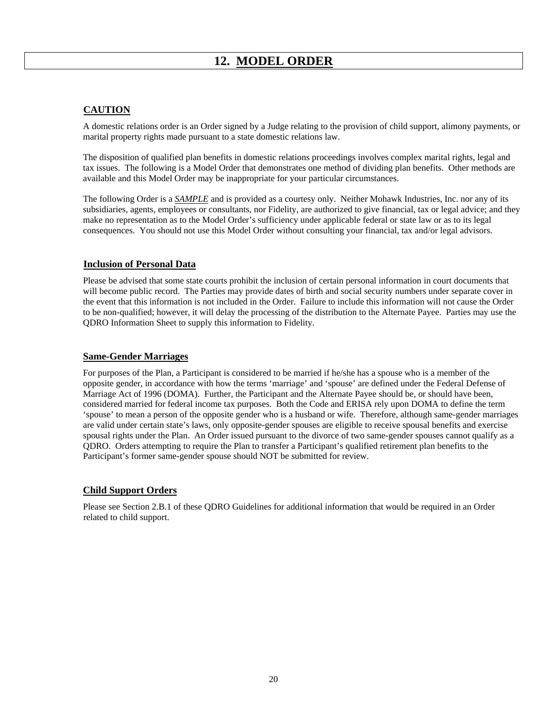#### **CAUTION**

A domestic relations order is an Order signed by a Judge relating to the provision of child support, alimony payments, or marital property rights made pursuant to a state domestic relations law.

The disposition of qualified plan benefits in domestic relations proceedings involves complex marital rights, legal and tax issues. The following is a Model Order that demonstrates one method of dividing plan benefits. Other methods are available and this Model Order may be inappropriate for your particular circumstances.

 The following Order is a *SAMPLE* and is provided as a courtesy only. Neither Mohawk Industries, Inc. nor any of its subsidiaries, agents, employees or consultants, nor Fidelity, are authorized to give financial, tax or legal advice; and they make no representation as to the Model Order's sufficiency under applicable federal or state law or as to its legal consequences. You should not use this Model Order without consulting your financial, tax and/or legal advisors.

#### **Inclusion of Personal Data**

Please be advised that some state courts prohibit the inclusion of certain personal information in court documents that will become public record. The Parties may provide dates of birth and social security numbers under separate cover in the event that this information is not included in the Order. Failure to include this information will not cause the Order to be non-qualified; however, it will delay the processing of the distribution to the Alternate Payee. Parties may use the QDRO Information Sheet to supply this information to Fidelity.

#### **Same-Gender Marriages**

For purposes of the Plan, a Participant is considered to be married if he/she has a spouse who is a member of the opposite gender, in accordance with how the terms 'marriage' and 'spouse' are defined under the Federal Defense of Marriage Act of 1996 (DOMA). Further, the Participant and the Alternate Payee should be, or should have been, considered married for federal income tax purposes. Both the Code and ERISA rely upon DOMA to define the term 'spouse' to mean a person of the opposite gender who is a husband or wife. Therefore, although same-gender marriages are valid under certain state's laws, only opposite-gender spouses are eligible to receive spousal benefits and exercise spousal rights under the Plan. An Order issued pursuant to the divorce of two same-gender spouses cannot qualify as a QDRO. Orders attempting to require the Plan to transfer a Participant's qualified retirement plan benefits to the Participant's former same-gender spouse should NOT be submitted for review.

#### **Child Support Orders**

Please see Section 2.B.1 of these QDRO Guidelines for additional information that would be required in an Order related to child support.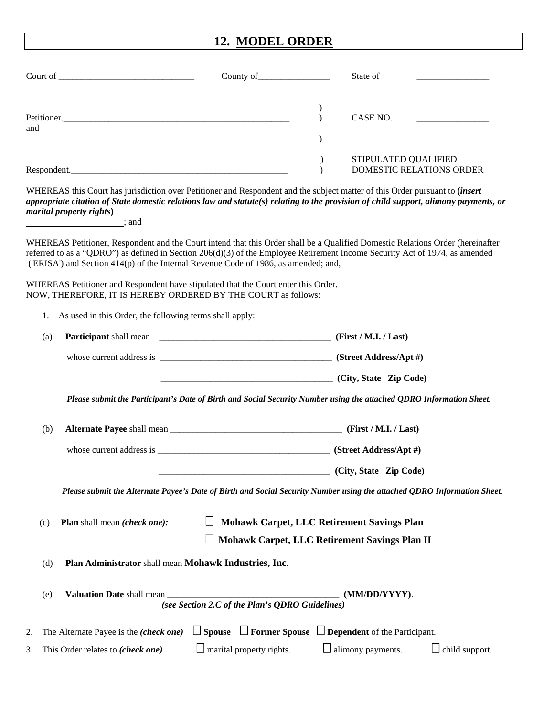# **12. MODEL ORDER**

|     |     |                                                         | County of                                                                                                                                                                                                                                  |                                | State of                                                                                                                                                                                                                                                                   |
|-----|-----|---------------------------------------------------------|--------------------------------------------------------------------------------------------------------------------------------------------------------------------------------------------------------------------------------------------|--------------------------------|----------------------------------------------------------------------------------------------------------------------------------------------------------------------------------------------------------------------------------------------------------------------------|
| and |     |                                                         |                                                                                                                                                                                                                                            | $\mathcal{L}$<br>$\mathcal{E}$ | CASE NO.                                                                                                                                                                                                                                                                   |
|     |     | Respondent.                                             |                                                                                                                                                                                                                                            |                                | STIPULATED QUALIFIED<br>DOMESTIC RELATIONS ORDER                                                                                                                                                                                                                           |
|     |     |                                                         |                                                                                                                                                                                                                                            |                                | WHEREAS this Court has jurisdiction over Petitioner and Respondent and the subject matter of this Order pursuant to <i>(insert</i><br>appropriate citation of State domestic relations law and statute(s) relating to the provision of child support, alimony payments, or |
|     |     | $\overline{\phantom{a}}$ ; and                          |                                                                                                                                                                                                                                            |                                |                                                                                                                                                                                                                                                                            |
|     |     |                                                         | ('ERISA') and Section 414(p) of the Internal Revenue Code of 1986, as amended; and,<br>WHEREAS Petitioner and Respondent have stipulated that the Court enter this Order.<br>NOW, THEREFORE, IT IS HEREBY ORDERED BY THE COURT as follows: |                                | WHEREAS Petitioner, Respondent and the Court intend that this Order shall be a Qualified Domestic Relations Order (hereinafter<br>referred to as a "QDRO") as defined in Section 206(d)(3) of the Employee Retirement Income Security Act of 1974, as amended              |
|     | 1.  | As used in this Order, the following terms shall apply: |                                                                                                                                                                                                                                            |                                |                                                                                                                                                                                                                                                                            |
|     | (a) |                                                         |                                                                                                                                                                                                                                            |                                |                                                                                                                                                                                                                                                                            |
|     |     |                                                         |                                                                                                                                                                                                                                            |                                |                                                                                                                                                                                                                                                                            |
|     |     |                                                         | City, State Zip Code)                                                                                                                                                                                                                      |                                |                                                                                                                                                                                                                                                                            |
|     |     |                                                         |                                                                                                                                                                                                                                            |                                | Please submit the Participant's Date of Birth and Social Security Number using the attached QDRO Information Sheet.                                                                                                                                                        |
|     | (b) |                                                         |                                                                                                                                                                                                                                            |                                |                                                                                                                                                                                                                                                                            |
|     |     |                                                         |                                                                                                                                                                                                                                            |                                |                                                                                                                                                                                                                                                                            |
|     |     |                                                         |                                                                                                                                                                                                                                            |                                | (City, State Zip Code)                                                                                                                                                                                                                                                     |
|     |     |                                                         |                                                                                                                                                                                                                                            |                                | Please submit the Alternate Payee's Date of Birth and Social Security Number using the attached QDRO Information Sheet.                                                                                                                                                    |
|     | (c) | Plan shall mean (check one):                            |                                                                                                                                                                                                                                            |                                | <b>Mohawk Carpet, LLC Retirement Savings Plan</b><br>Mohawk Carpet, LLC Retirement Savings Plan II                                                                                                                                                                         |
|     | (d) |                                                         | Plan Administrator shall mean Mohawk Industries, Inc.                                                                                                                                                                                      |                                |                                                                                                                                                                                                                                                                            |
|     | (e) | Valuation Date shall mean                               | (see Section 2.C of the Plan's QDRO Guidelines)                                                                                                                                                                                            |                                | (MM/DD/YYYY).                                                                                                                                                                                                                                                              |
| 2.  |     | The Alternate Payee is the (check one)                  | $\Box$ Spouse $\Box$ Former Spouse $\Box$ Dependent of the Participant.                                                                                                                                                                    |                                |                                                                                                                                                                                                                                                                            |
| 3.  |     | This Order relates to (check one)                       | $\Box$ marital property rights.                                                                                                                                                                                                            |                                | $\Box$ alimony payments.<br>child support.                                                                                                                                                                                                                                 |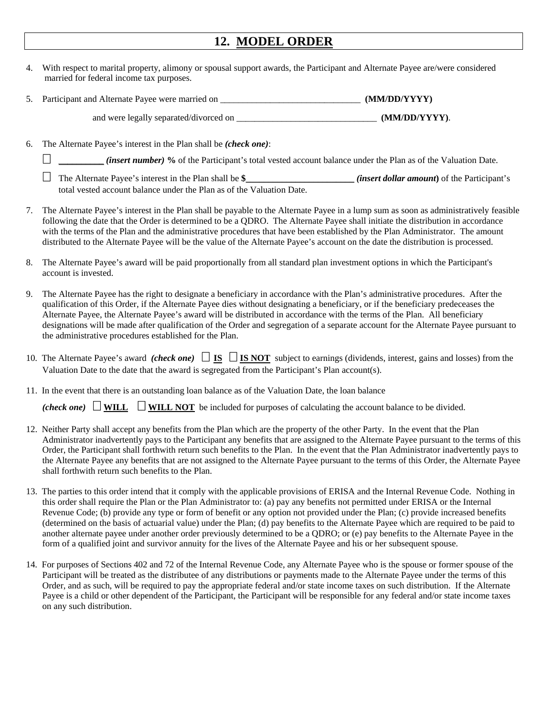## **12. MODEL ORDER**

- 4. With respect to marital property, alimony or spousal support awards, the Participant and Alternate Payee are/were considered married for federal income tax purposes.
- 5. Participant and Alternate Payee were married on \_\_\_\_\_\_\_\_\_\_\_\_\_\_\_\_\_\_\_\_\_\_\_\_\_\_\_\_\_ **(MM/DD/YYYY)**

and were legally separated/divorced on \_\_\_\_\_\_\_\_\_\_\_\_\_\_\_\_\_\_\_\_\_\_\_\_\_\_\_\_\_\_\_\_\_**(MM/DD/YYYY)**.

6. The Alternate Payee's interest in the Plan shall be *(check one)*:

\_\_\_\_\_\_\_\_\_\_ *(insert number)* **%** of the Participant's total vested account balance under the Plan as of the Valuation Date.

- The Alternate Payee's interest in the Plan shall be **\$**\_\_\_\_\_\_\_\_\_\_\_\_\_\_\_\_\_\_\_\_\_\_\_\_ *(insert dollar amount***)** of the Participant's total vested account balance under the Plan as of the Valuation Date.
- 7. The Alternate Payee's interest in the Plan shall be payable to the Alternate Payee in a lump sum as soon as administratively feasible following the date that the Order is determined to be a QDRO. The Alternate Payee shall initiate the distribution in accordance with the terms of the Plan and the administrative procedures that have been established by the Plan Administrator. The amount distributed to the Alternate Payee will be the value of the Alternate Payee's account on the date the distribution is processed.
- 8. The Alternate Payee's award will be paid proportionally from all standard plan investment options in which the Participant's account is invested.
- 9. The Alternate Payee has the right to designate a beneficiary in accordance with the Plan's administrative procedures. After the qualification of this Order, if the Alternate Payee dies without designating a beneficiary, or if the beneficiary predeceases the Alternate Payee, the Alternate Payee's award will be distributed in accordance with the terms of the Plan. All beneficiary designations will be made after qualification of the Order and segregation of a separate account for the Alternate Payee pursuant to the administrative procedures established for the Plan.
- 10. The Alternate Payee's award *(check one)*  $\Box$  **IS**  $\Box$  **IS NOT** subject to earnings (dividends, interest, gains and losses) from the Valuation Date to the date that the award is segregated from the Participant's Plan account(s).
- 11. In the event that there is an outstanding loan balance as of the Valuation Date, the loan balance

*(check one)*  $\Box$  WILL  $\Box$  WILL NOT be included for purposes of calculating the account balance to be divided.

- 12. Neither Party shall accept any benefits from the Plan which are the property of the other Party. In the event that the Plan Administrator inadvertently pays to the Participant any benefits that are assigned to the Alternate Payee pursuant to the terms of this Order, the Participant shall forthwith return such benefits to the Plan. In the event that the Plan Administrator inadvertently pays to the Alternate Payee any benefits that are not assigned to the Alternate Payee pursuant to the terms of this Order, the Alternate Payee shall forthwith return such benefits to the Plan.
- 13. The parties to this order intend that it comply with the applicable provisions of ERISA and the Internal Revenue Code. Nothing in this order shall require the Plan or the Plan Administrator to: (a) pay any benefits not permitted under ERISA or the Internal Revenue Code; (b) provide any type or form of benefit or any option not provided under the Plan; (c) provide increased benefits (determined on the basis of actuarial value) under the Plan; (d) pay benefits to the Alternate Payee which are required to be paid to another alternate payee under another order previously determined to be a QDRO; or (e) pay benefits to the Alternate Payee in the form of a qualified joint and survivor annuity for the lives of the Alternate Payee and his or her subsequent spouse.
- 14. For purposes of Sections 402 and 72 of the Internal Revenue Code, any Alternate Payee who is the spouse or former spouse of the Participant will be treated as the distributee of any distributions or payments made to the Alternate Payee under the terms of this Order, and as such, will be required to pay the appropriate federal and/or state income taxes on such distribution. If the Alternate Payee is a child or other dependent of the Participant, the Participant will be responsible for any federal and/or state income taxes on any such distribution.